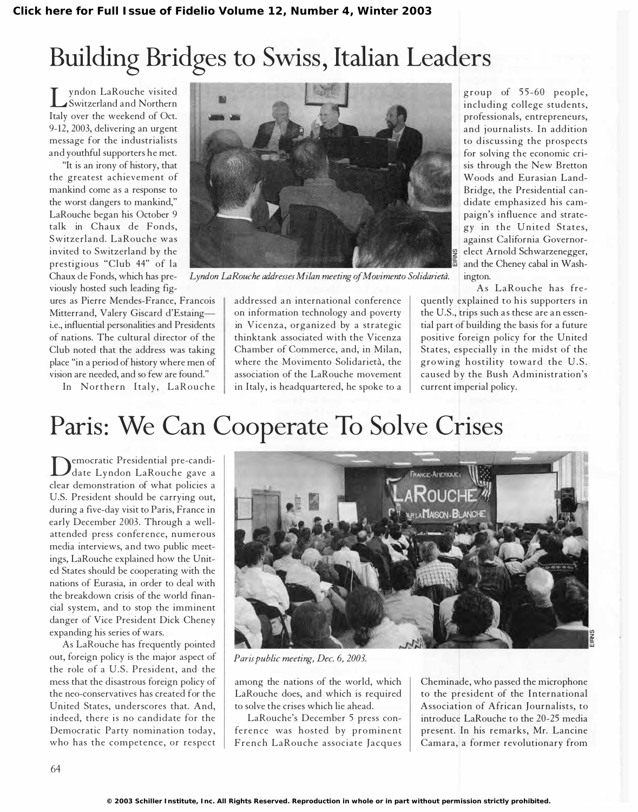## Building Bridges to Swiss, Italian Leaders

I yhdon Earouche visited<br>Italy over the weekend of Oct. yndon LaRouche visited Switzerland and Northern 9-12, 2003, delivering an urgent message for the industrialists and youthful supporters he met.

"It is an irony of history, that the greatest achievement of mankind come as a response to the worst dangers to mankind," LaRouche began his October 9 talk in Chaux de Fonds, Switzerland. LaRouche was invited to Switzerland by the prestigious "Club 44" of la Chaux de Fonds, which has previously hosted such leading fig-

ures as Pierre Mendes-France, Francois Mitterrand, Valery Giscard d'Estaingi.e., influential personalities and Presidents of nations. The cultural director of the Club noted that the address was taking place "in a period of history where men of vision are needed, and so few are found."

In Northern Italy, LaRouche



Lyndon LaRouche addresses Milan meeting of Movimento Solidarietà. ington.

addressed an international conference on information technology and poverty in Vicenza, organized by a strategic thinktank associated with the Vicenza Chamber of Commerce, and, in Milan, where the Movimento Solidarietà, the association of the LaRouche movement in Italy, is headquartered, he spoke to a

group of 55-60 people, including college students, professionals, entrepreneurs, and journalists. In addition to discussing the prospects for solving the economic crisis through the New Bretton Woods and Eurasian Land-Bridge, the Presidential candidate emphasized his campaign's influence and strategy in the United States, against California Governor elect Arnold Schwarzenegger, and the Cheney cabal in Wash-

As LaRouche has frequently explained to his supporters in the U.S., trips such as these are an essential part of building the basis for a future positive foreign policy for the United States, especially in the midst of the growing hostility toward the U.S. caused by the Bush Administration's current imperial policy.

## Paris: We Can Cooperate To Solve Crises

Democratic Presidential pre-candi-<br>clear demonstration of what policies a emocratic Presidential pre-candidate Lyndon LaRouche gave a U.S. President should be carrying out, during a five-day visit to Paris, France in early December 2003. Through a wellattended press conference, numerous media interviews, and two public meetings, LaRouche explained how the United States should be cooperating with the nations of Eurasia, in order to deal with the breakdown crisis of the world financial system, and to stop the imminent danger of Vice President Dick Cheney expanding his series of wars.

As LaRouche has frequently pointed out, foreign policy is the major aspect of the role of a U.S. President, and the mess that the disastrous foreign policy of the neo-conservatives has created for the United States, underscores that. And, indeed, there is no candidate for the Democratic Party nomination today, who has the competence, or respect



Paris public meeting, Dec. 6, 2003.

among the nations of the world, which LaRouche does, and which is required to solve the crises which lie ahead.

LaRouche's December 5 press confe rence was hosted by prominent French LaRouche associate Jacques

Cheminade, who passed the microphone to the president of the International Association of African Journalists, to introduce LaRouche to the 20-25 media present. In his remarks, Mr. Lancine Camara, a former revolutionary from